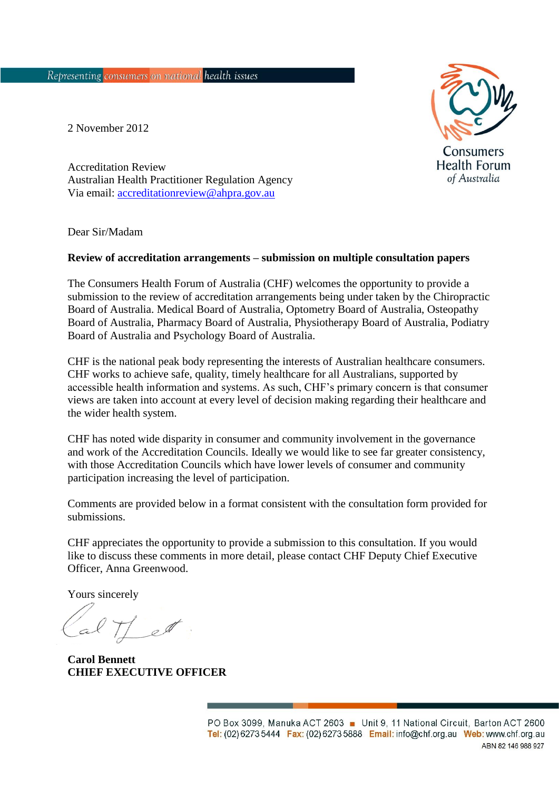**Consumers Health Forum** of Australia

2 November 2012

Accreditation Review Australian Health Practitioner Regulation Agency Via email: [accreditationreview@ahpra.gov.au](mailto:accreditationreview@ahpra.gov.au)

Dear Sir/Madam

#### **Review of accreditation arrangements – submission on multiple consultation papers**

The Consumers Health Forum of Australia (CHF) welcomes the opportunity to provide a submission to the review of accreditation arrangements being under taken by the Chiropractic Board of Australia. Medical Board of Australia, Optometry Board of Australia, Osteopathy Board of Australia, Pharmacy Board of Australia, Physiotherapy Board of Australia, Podiatry Board of Australia and Psychology Board of Australia.

CHF is the national peak body representing the interests of Australian healthcare consumers. CHF works to achieve safe, quality, timely healthcare for all Australians, supported by accessible health information and systems. As such, CHF's primary concern is that consumer views are taken into account at every level of decision making regarding their healthcare and the wider health system.

CHF has noted wide disparity in consumer and community involvement in the governance and work of the Accreditation Councils. Ideally we would like to see far greater consistency, with those Accreditation Councils which have lower levels of consumer and community participation increasing the level of participation.

Comments are provided below in a format consistent with the consultation form provided for submissions.

CHF appreciates the opportunity to provide a submission to this consultation. If you would like to discuss these comments in more detail, please contact CHF Deputy Chief Executive Officer, Anna Greenwood.

Yours sincerely

et

**Carol Bennett CHIEF EXECUTIVE OFFICER**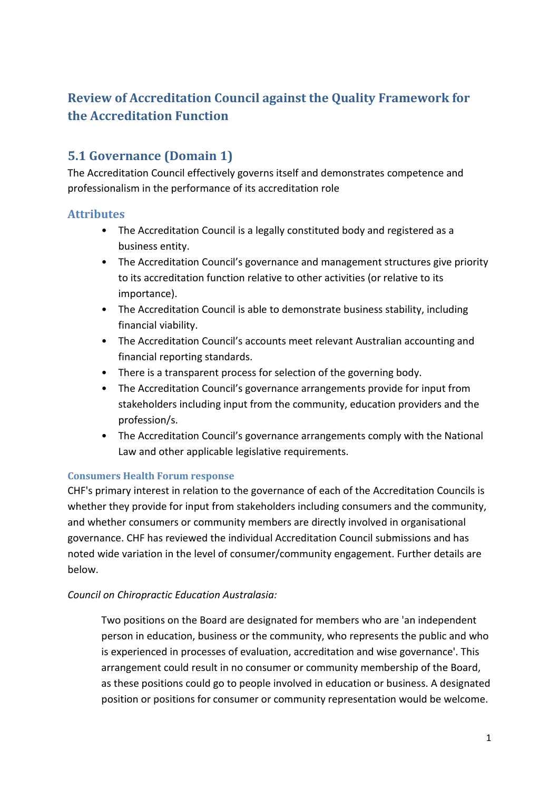# **Review of Accreditation Council against the Quality Framework for the Accreditation Function**

# **5.1 Governance (Domain 1)**

The Accreditation Council effectively governs itself and demonstrates competence and professionalism in the performance of its accreditation role

## **Attributes**

- The Accreditation Council is a legally constituted body and registered as a business entity.
- The Accreditation Council's governance and management structures give priority to its accreditation function relative to other activities (or relative to its importance).
- The Accreditation Council is able to demonstrate business stability, including financial viability.
- The Accreditation Council's accounts meet relevant Australian accounting and financial reporting standards.
- There is a transparent process for selection of the governing body.
- The Accreditation Council's governance arrangements provide for input from stakeholders including input from the community, education providers and the profession/s.
- The Accreditation Council's governance arrangements comply with the National Law and other applicable legislative requirements.

### **Consumers Health Forum response**

CHF's primary interest in relation to the governance of each of the Accreditation Councils is whether they provide for input from stakeholders including consumers and the community, and whether consumers or community members are directly involved in organisational governance. CHF has reviewed the individual Accreditation Council submissions and has noted wide variation in the level of consumer/community engagement. Further details are below.

### *Council on Chiropractic Education Australasia:*

Two positions on the Board are designated for members who are 'an independent person in education, business or the community, who represents the public and who is experienced in processes of evaluation, accreditation and wise governance'. This arrangement could result in no consumer or community membership of the Board, as these positions could go to people involved in education or business. A designated position or positions for consumer or community representation would be welcome.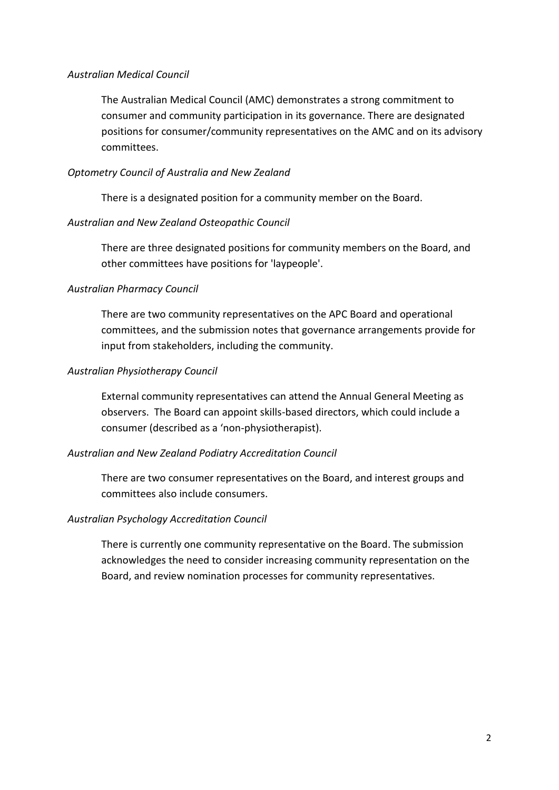#### *Australian Medical Council*

The Australian Medical Council (AMC) demonstrates a strong commitment to consumer and community participation in its governance. There are designated positions for consumer/community representatives on the AMC and on its advisory committees.

#### *Optometry Council of Australia and New Zealand*

There is a designated position for a community member on the Board.

#### *Australian and New Zealand Osteopathic Council*

There are three designated positions for community members on the Board, and other committees have positions for 'laypeople'.

#### *Australian Pharmacy Council*

There are two community representatives on the APC Board and operational committees, and the submission notes that governance arrangements provide for input from stakeholders, including the community.

#### *Australian Physiotherapy Council*

External community representatives can attend the Annual General Meeting as observers. The Board can appoint skills-based directors, which could include a consumer (described as a 'non-physiotherapist).

#### *Australian and New Zealand Podiatry Accreditation Council*

There are two consumer representatives on the Board, and interest groups and committees also include consumers.

#### *Australian Psychology Accreditation Council*

There is currently one community representative on the Board. The submission acknowledges the need to consider increasing community representation on the Board, and review nomination processes for community representatives.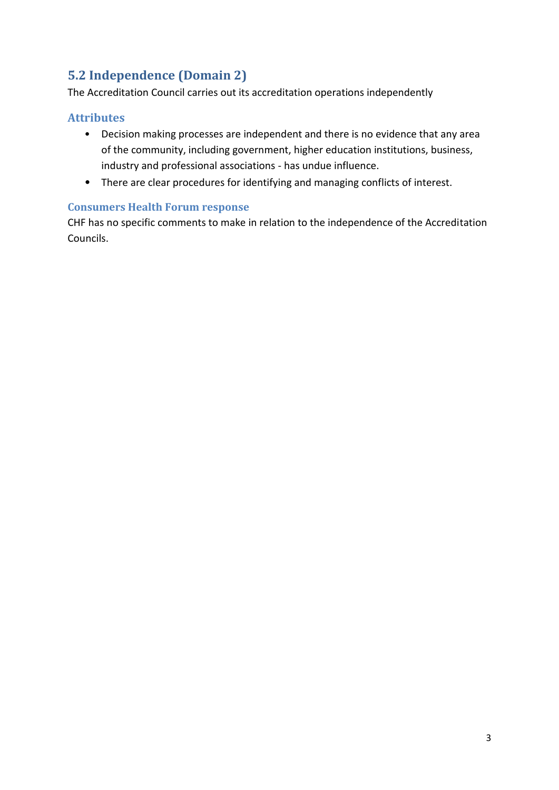# **5.2 Independence (Domain 2)**

The Accreditation Council carries out its accreditation operations independently

## **Attributes**

- Decision making processes are independent and there is no evidence that any area of the community, including government, higher education institutions, business, industry and professional associations - has undue influence.
- There are clear procedures for identifying and managing conflicts of interest.

## **Consumers Health Forum response**

CHF has no specific comments to make in relation to the independence of the Accreditation Councils.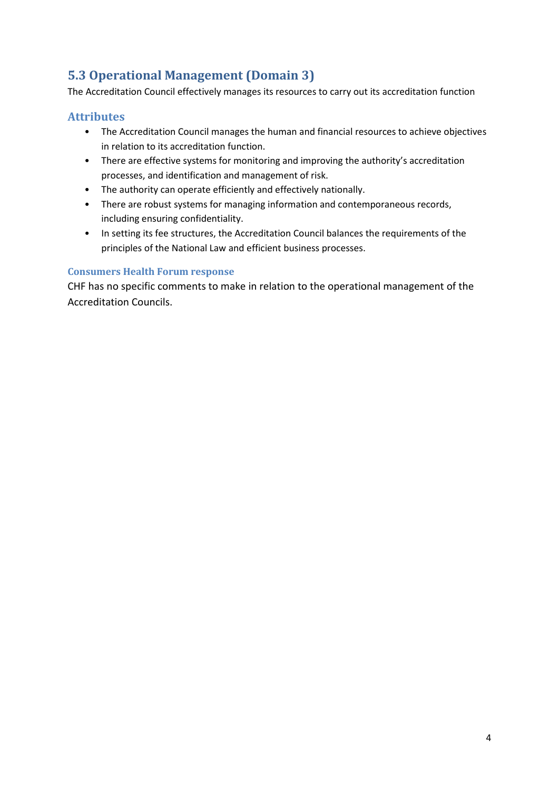# **5.3 Operational Management (Domain 3)**

The Accreditation Council effectively manages its resources to carry out its accreditation function

## **Attributes**

- The Accreditation Council manages the human and financial resources to achieve objectives in relation to its accreditation function.
- There are effective systems for monitoring and improving the authority's accreditation processes, and identification and management of risk.
- The authority can operate efficiently and effectively nationally.
- There are robust systems for managing information and contemporaneous records, including ensuring confidentiality.
- In setting its fee structures, the Accreditation Council balances the requirements of the principles of the National Law and efficient business processes.

### **Consumers Health Forum response**

CHF has no specific comments to make in relation to the operational management of the Accreditation Councils.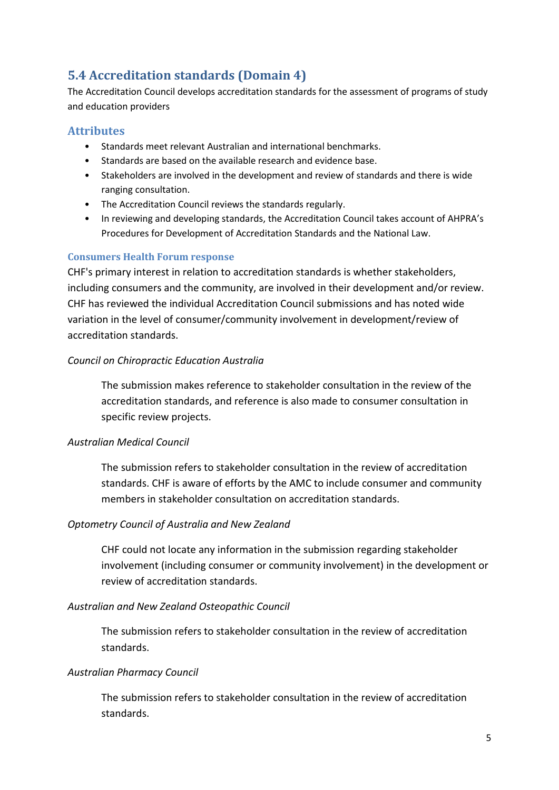# **5.4 Accreditation standards (Domain 4)**

The Accreditation Council develops accreditation standards for the assessment of programs of study and education providers

## **Attributes**

- Standards meet relevant Australian and international benchmarks.
- Standards are based on the available research and evidence base.
- Stakeholders are involved in the development and review of standards and there is wide ranging consultation.
- The Accreditation Council reviews the standards regularly.
- In reviewing and developing standards, the Accreditation Council takes account of AHPRA's Procedures for Development of Accreditation Standards and the National Law.

### **Consumers Health Forum response**

CHF's primary interest in relation to accreditation standards is whether stakeholders, including consumers and the community, are involved in their development and/or review. CHF has reviewed the individual Accreditation Council submissions and has noted wide variation in the level of consumer/community involvement in development/review of accreditation standards.

### *Council on Chiropractic Education Australia*

The submission makes reference to stakeholder consultation in the review of the accreditation standards, and reference is also made to consumer consultation in specific review projects.

### *Australian Medical Council*

The submission refers to stakeholder consultation in the review of accreditation standards. CHF is aware of efforts by the AMC to include consumer and community members in stakeholder consultation on accreditation standards.

### *Optometry Council of Australia and New Zealand*

CHF could not locate any information in the submission regarding stakeholder involvement (including consumer or community involvement) in the development or review of accreditation standards.

### *Australian and New Zealand Osteopathic Council*

The submission refers to stakeholder consultation in the review of accreditation standards.

### *Australian Pharmacy Council*

The submission refers to stakeholder consultation in the review of accreditation standards.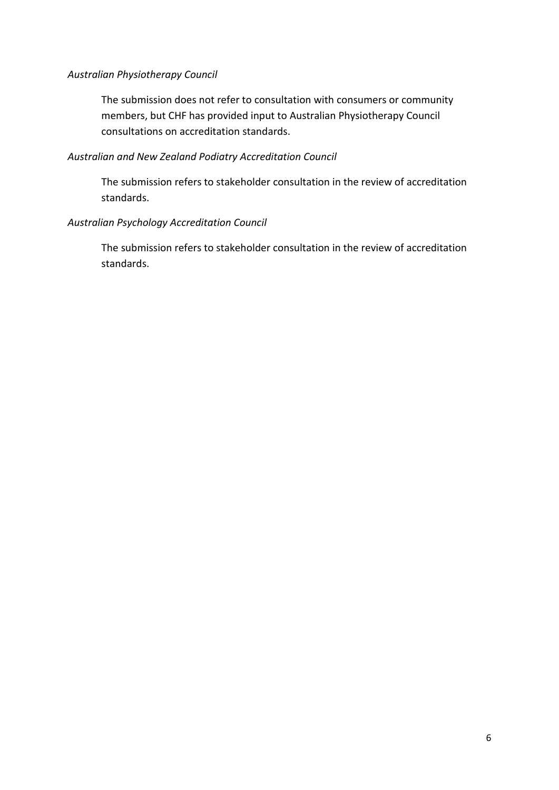#### *Australian Physiotherapy Council*

The submission does not refer to consultation with consumers or community members, but CHF has provided input to Australian Physiotherapy Council consultations on accreditation standards.

#### *Australian and New Zealand Podiatry Accreditation Council*

The submission refers to stakeholder consultation in the review of accreditation standards.

#### *Australian Psychology Accreditation Council*

The submission refers to stakeholder consultation in the review of accreditation standards.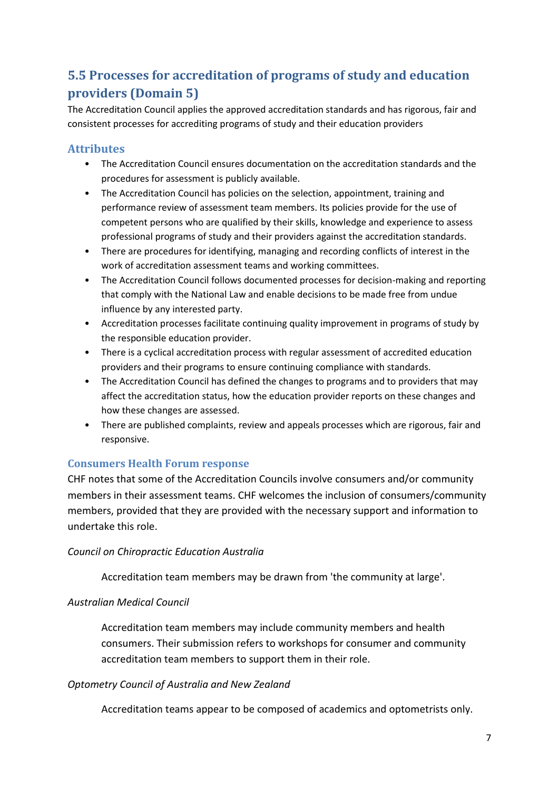# **5.5 Processes for accreditation of programs of study and education providers (Domain 5)**

The Accreditation Council applies the approved accreditation standards and has rigorous, fair and consistent processes for accrediting programs of study and their education providers

## **Attributes**

- The Accreditation Council ensures documentation on the accreditation standards and the procedures for assessment is publicly available.
- The Accreditation Council has policies on the selection, appointment, training and performance review of assessment team members. Its policies provide for the use of competent persons who are qualified by their skills, knowledge and experience to assess professional programs of study and their providers against the accreditation standards.
- There are procedures for identifying, managing and recording conflicts of interest in the work of accreditation assessment teams and working committees.
- The Accreditation Council follows documented processes for decision-making and reporting that comply with the National Law and enable decisions to be made free from undue influence by any interested party.
- Accreditation processes facilitate continuing quality improvement in programs of study by the responsible education provider.
- There is a cyclical accreditation process with regular assessment of accredited education providers and their programs to ensure continuing compliance with standards.
- The Accreditation Council has defined the changes to programs and to providers that may affect the accreditation status, how the education provider reports on these changes and how these changes are assessed.
- There are published complaints, review and appeals processes which are rigorous, fair and responsive.

### **Consumers Health Forum response**

CHF notes that some of the Accreditation Councils involve consumers and/or community members in their assessment teams. CHF welcomes the inclusion of consumers/community members, provided that they are provided with the necessary support and information to undertake this role.

### *Council on Chiropractic Education Australia*

Accreditation team members may be drawn from 'the community at large'.

### *Australian Medical Council*

Accreditation team members may include community members and health consumers. Their submission refers to workshops for consumer and community accreditation team members to support them in their role.

### *Optometry Council of Australia and New Zealand*

Accreditation teams appear to be composed of academics and optometrists only.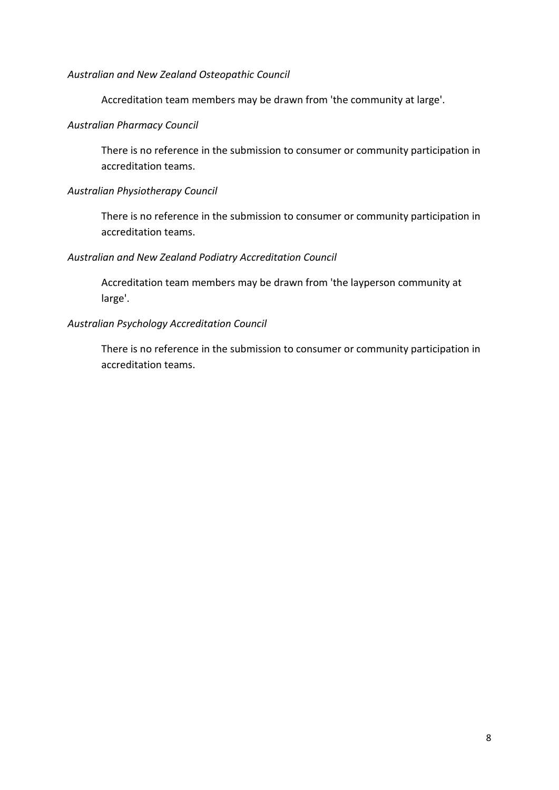#### *Australian and New Zealand Osteopathic Council*

Accreditation team members may be drawn from 'the community at large'.

#### *Australian Pharmacy Council*

There is no reference in the submission to consumer or community participation in accreditation teams.

#### *Australian Physiotherapy Council*

There is no reference in the submission to consumer or community participation in accreditation teams.

### *Australian and New Zealand Podiatry Accreditation Council*

Accreditation team members may be drawn from 'the layperson community at large'.

#### *Australian Psychology Accreditation Council*

There is no reference in the submission to consumer or community participation in accreditation teams.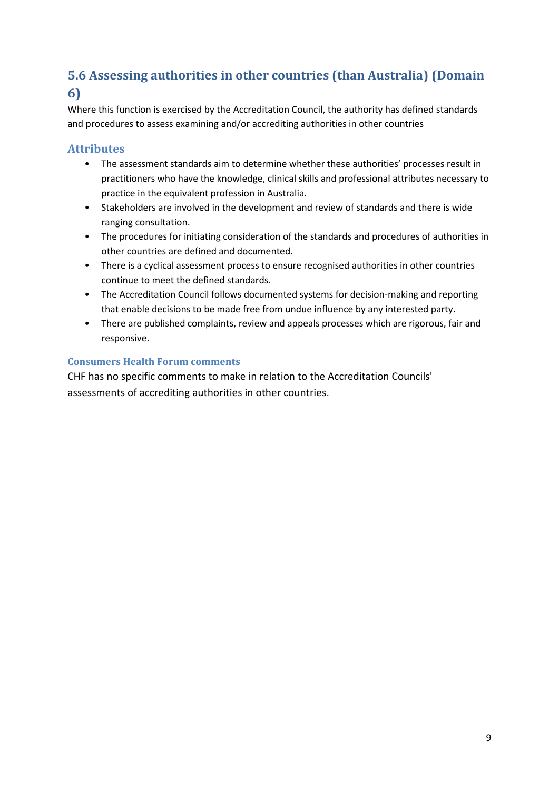# **5.6 Assessing authorities in other countries (than Australia) (Domain 6)**

Where this function is exercised by the Accreditation Council, the authority has defined standards and procedures to assess examining and/or accrediting authorities in other countries

## **Attributes**

- The assessment standards aim to determine whether these authorities' processes result in practitioners who have the knowledge, clinical skills and professional attributes necessary to practice in the equivalent profession in Australia.
- Stakeholders are involved in the development and review of standards and there is wide ranging consultation.
- The procedures for initiating consideration of the standards and procedures of authorities in other countries are defined and documented.
- There is a cyclical assessment process to ensure recognised authorities in other countries continue to meet the defined standards.
- The Accreditation Council follows documented systems for decision-making and reporting that enable decisions to be made free from undue influence by any interested party.
- There are published complaints, review and appeals processes which are rigorous, fair and responsive.

## **Consumers Health Forum comments**

CHF has no specific comments to make in relation to the Accreditation Councils' assessments of accrediting authorities in other countries.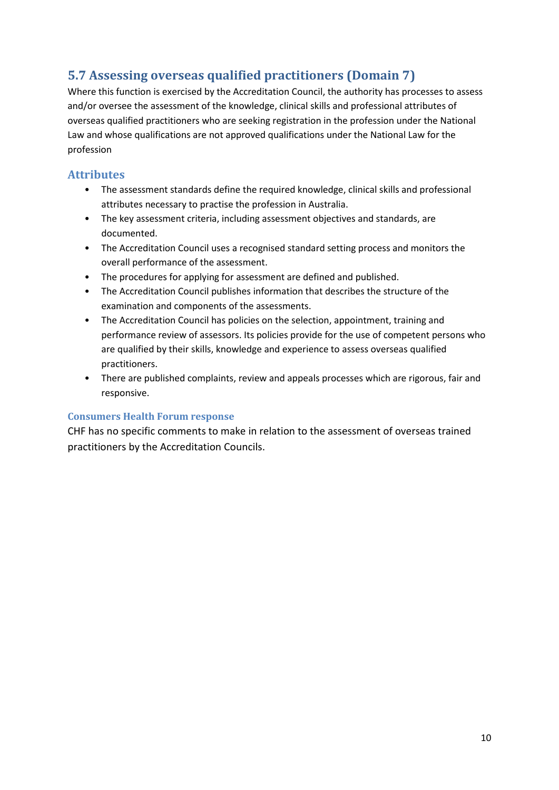# **5.7 Assessing overseas qualified practitioners (Domain 7)**

Where this function is exercised by the Accreditation Council, the authority has processes to assess and/or oversee the assessment of the knowledge, clinical skills and professional attributes of overseas qualified practitioners who are seeking registration in the profession under the National Law and whose qualifications are not approved qualifications under the National Law for the profession

## **Attributes**

- The assessment standards define the required knowledge, clinical skills and professional attributes necessary to practise the profession in Australia.
- The key assessment criteria, including assessment objectives and standards, are documented.
- The Accreditation Council uses a recognised standard setting process and monitors the overall performance of the assessment.
- The procedures for applying for assessment are defined and published.
- The Accreditation Council publishes information that describes the structure of the examination and components of the assessments.
- The Accreditation Council has policies on the selection, appointment, training and performance review of assessors. Its policies provide for the use of competent persons who are qualified by their skills, knowledge and experience to assess overseas qualified practitioners.
- There are published complaints, review and appeals processes which are rigorous, fair and responsive.

#### **Consumers Health Forum response**

CHF has no specific comments to make in relation to the assessment of overseas trained practitioners by the Accreditation Councils.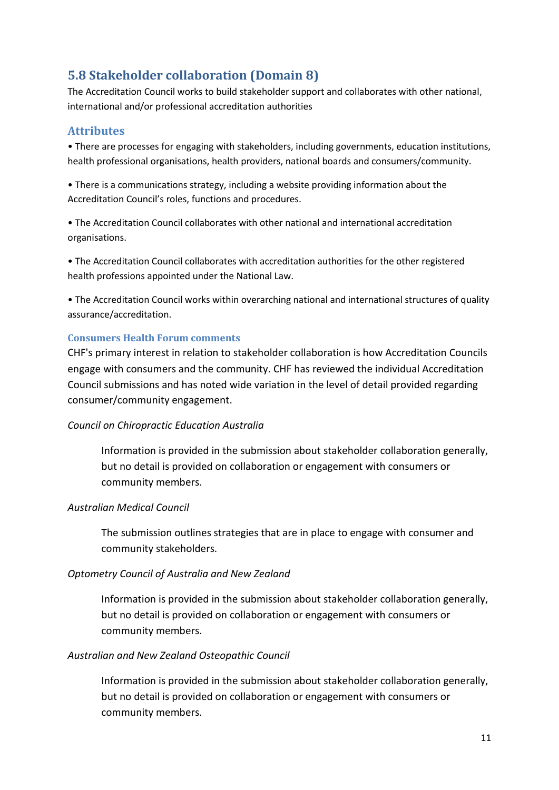## **5.8 Stakeholder collaboration (Domain 8)**

The Accreditation Council works to build stakeholder support and collaborates with other national, international and/or professional accreditation authorities

### **Attributes**

• There are processes for engaging with stakeholders, including governments, education institutions, health professional organisations, health providers, national boards and consumers/community.

• There is a communications strategy, including a website providing information about the Accreditation Council's roles, functions and procedures.

• The Accreditation Council collaborates with other national and international accreditation organisations.

• The Accreditation Council collaborates with accreditation authorities for the other registered health professions appointed under the National Law.

• The Accreditation Council works within overarching national and international structures of quality assurance/accreditation.

### **Consumers Health Forum comments**

CHF's primary interest in relation to stakeholder collaboration is how Accreditation Councils engage with consumers and the community. CHF has reviewed the individual Accreditation Council submissions and has noted wide variation in the level of detail provided regarding consumer/community engagement.

### *Council on Chiropractic Education Australia*

Information is provided in the submission about stakeholder collaboration generally, but no detail is provided on collaboration or engagement with consumers or community members.

#### *Australian Medical Council*

The submission outlines strategies that are in place to engage with consumer and community stakeholders.

### *Optometry Council of Australia and New Zealand*

Information is provided in the submission about stakeholder collaboration generally, but no detail is provided on collaboration or engagement with consumers or community members.

### *Australian and New Zealand Osteopathic Council*

Information is provided in the submission about stakeholder collaboration generally, but no detail is provided on collaboration or engagement with consumers or community members.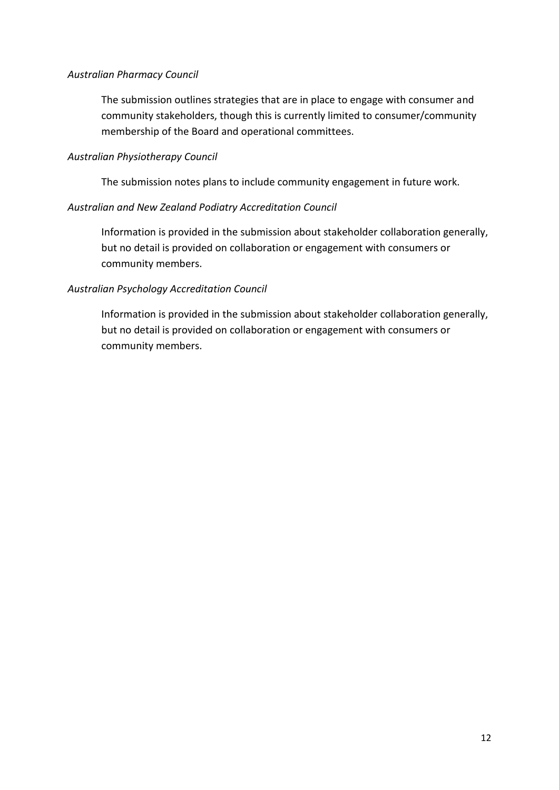#### *Australian Pharmacy Council*

The submission outlines strategies that are in place to engage with consumer and community stakeholders, though this is currently limited to consumer/community membership of the Board and operational committees.

#### *Australian Physiotherapy Council*

The submission notes plans to include community engagement in future work.

#### *Australian and New Zealand Podiatry Accreditation Council*

Information is provided in the submission about stakeholder collaboration generally, but no detail is provided on collaboration or engagement with consumers or community members.

### *Australian Psychology Accreditation Council*

Information is provided in the submission about stakeholder collaboration generally, but no detail is provided on collaboration or engagement with consumers or community members.